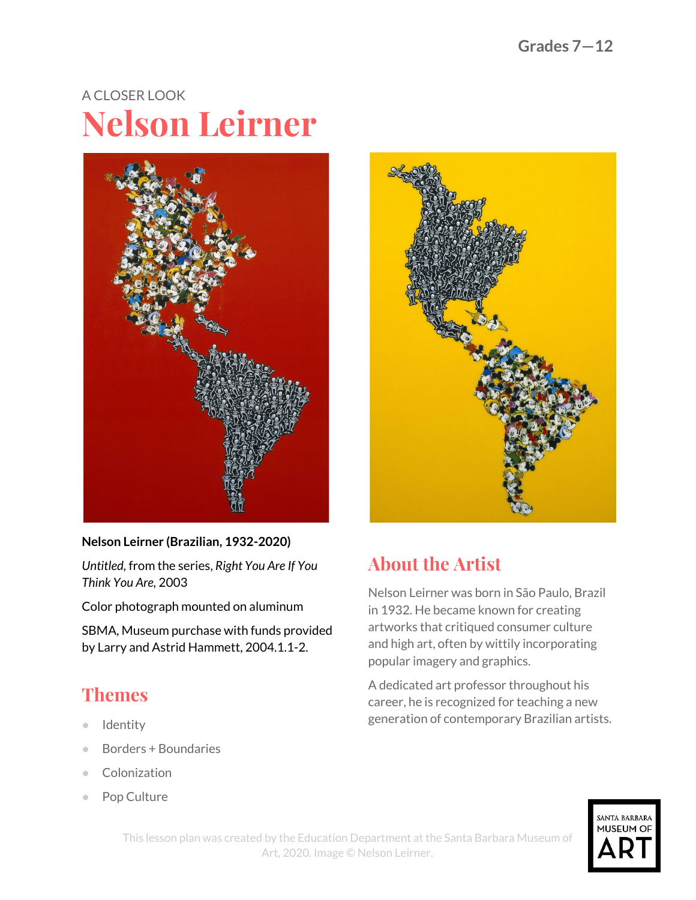# A CLOSER LOOK **Nelson Leirner**



#### **Nelson Leirner (Brazilian, 1932-2020)**

*Untitled,* from the series, *Right You Are If You Think You Are,* 2003

Color photograph mounted on aluminum

SBMA, Museum purchase with funds provided by Larry and Astrid Hammett, 2004.1.1-2.

## **Themes**

- Identity
- Borders + Boundaries
- Colonization
- Pop Culture



## **About the Artist**

Nelson Leirner was born in São Paulo, Brazil in 1932. He became known for creating artworks that critiqued consumer culture and high art, often by wittily incorporating popular imagery and graphics.

A dedicated art professor throughout his career, he is recognized for teaching a new generation of contemporary Brazilian artists.

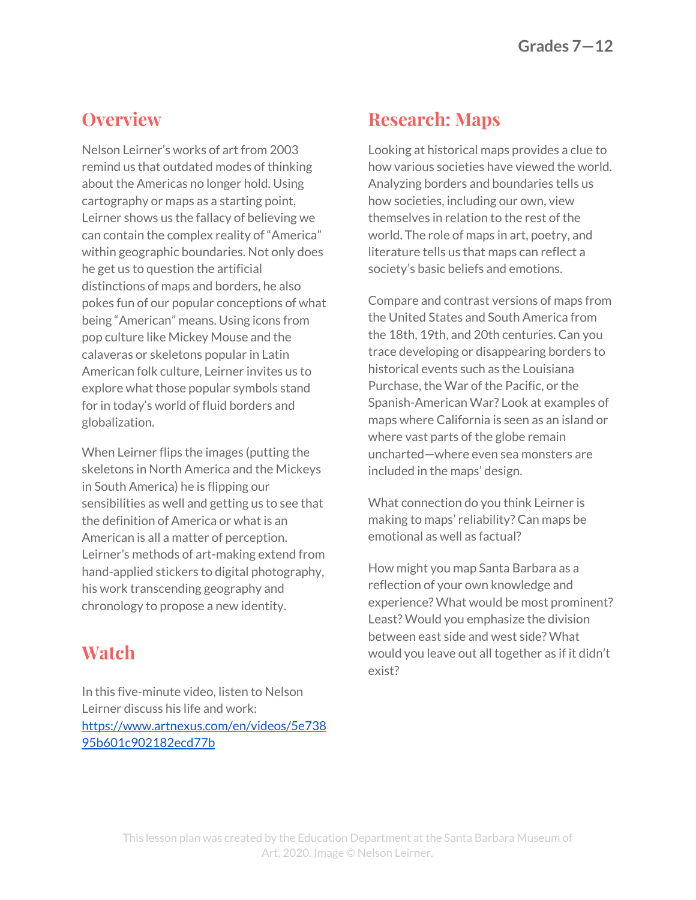#### **Overview**

Nelson Leirner's works of art from 2003 remind us that outdated modes of thinking about the Americas no longer hold. Using cartography or maps as a starting point, Leirner shows us the fallacy of believing we can contain the complex reality of "America" within geographic boundaries. Not only does he get us to question the artificial distinctions of maps and borders, he also pokes fun of our popular conceptions of what being "American" means. Using icons from pop culture like Mickey Mouse and the calaveras or skeletons popular in Latin American folk culture, Leirner invites us to explore what those popular symbols stand for in today's world of fluid borders and globalization.

When Leirner flips the images (putting the skeletons in North America and the Mickeys in South America) he is flipping our sensibilities as well and getting us to see that the definition of America or what is an American is all a matter of perception. Leirner's methods of art-making extend from hand-applied stickers to digital photography, his work transcending geography and chronology to propose a new identity.

### **Watch**

In this five-minute video, listen to Nelson Leirner discuss his life and work: [https://www.artnexus.com/en/videos/5e738](https://www.artnexus.com/en/videos/5e73895b601c902182ecd77b) [95b601c902182ecd77b](https://www.artnexus.com/en/videos/5e73895b601c902182ecd77b)

#### **Research: Maps**

Looking at historical maps provides a clue to how various societies have viewed the world. Analyzing borders and boundaries tells us how societies, including our own, view themselves in relation to the rest of the world. The role of maps in art, poetry, and literature tells us that maps can reflect a society's basic beliefs and emotions.

Compare and contrast versions of maps from the United States and South America from the 18th, 19th, and 20th centuries. Can you trace developing or disappearing borders to historical events such as the Louisiana Purchase, the War of the Pacific, or the Spanish-American War? Look at examples of maps where California is seen as an island or where vast parts of the globe remain uncharted—where even sea monsters are included in the maps' design.

What connection do you think Leirner is making to maps' reliability? Can maps be emotional as well as factual?

How might you map Santa Barbara as a reflection of your own knowledge and experience? What would be most prominent? Least? Would you emphasize the division between east side and west side? What would you leave out all together as if it didn't exist?